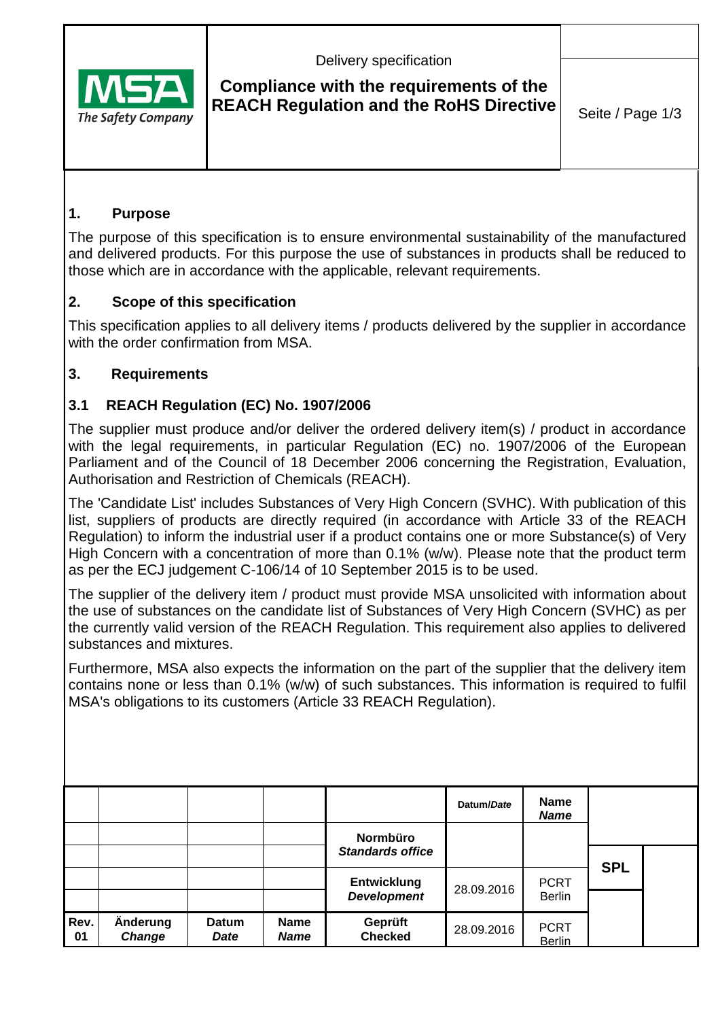

Delivery specification

## **Compliance with the requirements of the REACH Regulation and the RoHS Directive** Seite / Page 1/3

### **1. Purpose**

The purpose of this specification is to ensure environmental sustainability of the manufactured and delivered products. For this purpose the use of substances in products shall be reduced to those which are in accordance with the applicable, relevant requirements.

### **2. Scope of this specification**

This specification applies to all delivery items / products delivered by the supplier in accordance with the order confirmation from MSA.

### **3. Requirements**

### **3.1 REACH Regulation (EC) No. 1907/2006**

The supplier must produce and/or deliver the ordered delivery item(s) / product in accordance with the legal requirements, in particular Regulation (EC) no. 1907/2006 of the European Parliament and of the Council of 18 December 2006 concerning the Registration, Evaluation, Authorisation and Restriction of Chemicals (REACH).

The 'Candidate List' includes Substances of Very High Concern (SVHC). With publication of this list, suppliers of products are directly required (in accordance with Article 33 of the REACH Regulation) to inform the industrial user if a product contains one or more Substance(s) of Very High Concern with a concentration of more than 0.1% (w/w). Please note that the product term as per the ECJ judgement C-106/14 of 10 September 2015 is to be used.

The supplier of the delivery item / product must provide MSA unsolicited with information about the use of substances on the candidate list of Substances of Very High Concern (SVHC) as per the currently valid version of the REACH Regulation. This requirement also applies to delivered substances and mixtures.

Furthermore, MSA also expects the information on the part of the supplier that the delivery item contains none or less than 0.1% (w/w) of such substances. This information is required to fulfil MSA's obligations to its customers (Article 33 REACH Regulation).

|            |                    |                      |                            | <b>Normbüro</b>                          | Datum/Date | <b>Name</b><br><b>Name</b>   |            |  |
|------------|--------------------|----------------------|----------------------------|------------------------------------------|------------|------------------------------|------------|--|
|            |                    |                      |                            | <b>Standards office</b>                  |            |                              | <b>SPL</b> |  |
|            |                    |                      |                            | <b>Entwicklung</b><br><b>Development</b> | 28.09.2016 | <b>PCRT</b><br><b>Berlin</b> |            |  |
| Rev.<br>01 | Änderung<br>Change | <b>Datum</b><br>Date | <b>Name</b><br><b>Name</b> | Geprüft<br><b>Checked</b>                | 28.09.2016 | <b>PCRT</b><br><b>Berlin</b> |            |  |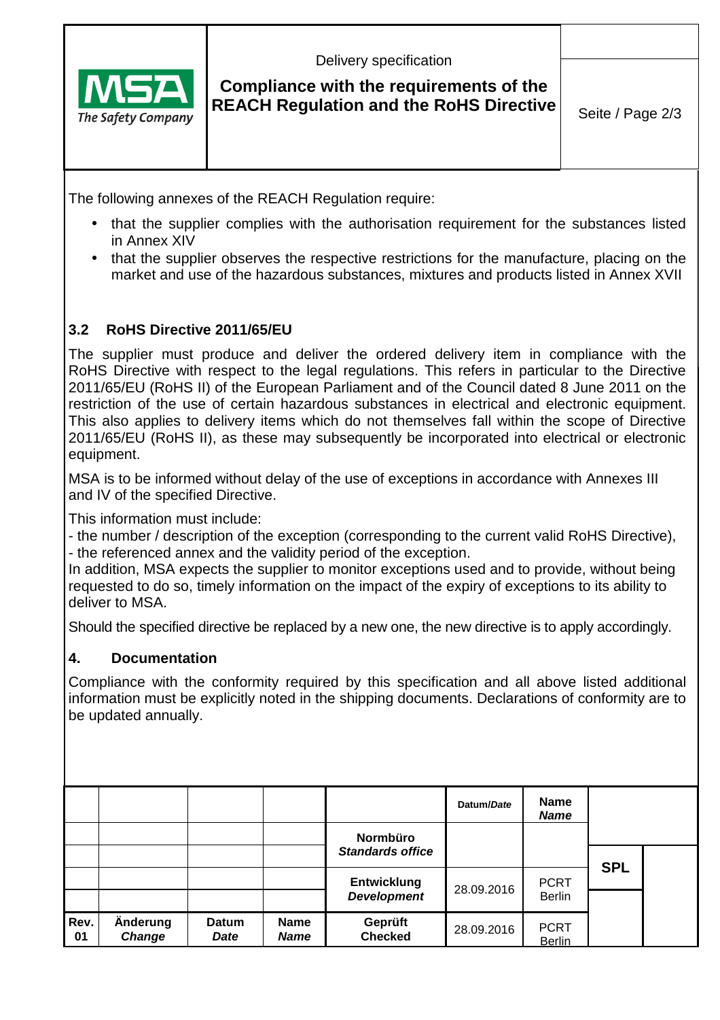

Delivery specification

## **Compliance with the requirements of the REACH Regulation and the RoHS Directive** Seite / Page 2/3

The following annexes of the REACH Regulation require:

- that the supplier complies with the authorisation requirement for the substances listed in Annex XIV
- that the supplier observes the respective restrictions for the manufacture, placing on the market and use of the hazardous substances, mixtures and products listed in Annex XVII

### **3.2 RoHS Directive 2011/65/EU**

The supplier must produce and deliver the ordered delivery item in compliance with the RoHS Directive with respect to the legal regulations. This refers in particular to the Directive 2011/65/EU (RoHS II) of the European Parliament and of the Council dated 8 June 2011 on the restriction of the use of certain hazardous substances in electrical and electronic equipment. This also applies to delivery items which do not themselves fall within the scope of Directive 2011/65/EU (RoHS II), as these may subsequently be incorporated into electrical or electronic equipment.

MSA is to be informed without delay of the use of exceptions in accordance with Annexes III and IV of the specified Directive.

This information must include:

- the number / description of the exception (corresponding to the current valid RoHS Directive), - the referenced annex and the validity period of the exception.

In addition, MSA expects the supplier to monitor exceptions used and to provide, without being requested to do so, timely information on the impact of the expiry of exceptions to its ability to deliver to MSA.

Should the specified directive be replaced by a new one, the new directive is to apply accordingly.

#### **4. Documentation**

Compliance with the conformity required by this specification and all above listed additional information must be explicitly noted in the shipping documents. Declarations of conformity are to be updated annually.

|            |                           |               |                            | Normbüro                                 | Datum/Date | <b>Name</b><br><b>Name</b>   |            |  |
|------------|---------------------------|---------------|----------------------------|------------------------------------------|------------|------------------------------|------------|--|
|            |                           |               |                            | <b>Standards office</b>                  |            |                              |            |  |
|            |                           |               |                            | <b>Entwicklung</b><br><b>Development</b> | 28.09.2016 | <b>PCRT</b><br><b>Berlin</b> | <b>SPL</b> |  |
| Rev.<br>01 | Änderung<br><b>Change</b> | Datum<br>Date | <b>Name</b><br><b>Name</b> | Geprüft<br><b>Checked</b>                | 28.09.2016 | <b>PCRT</b><br><b>Berlin</b> |            |  |